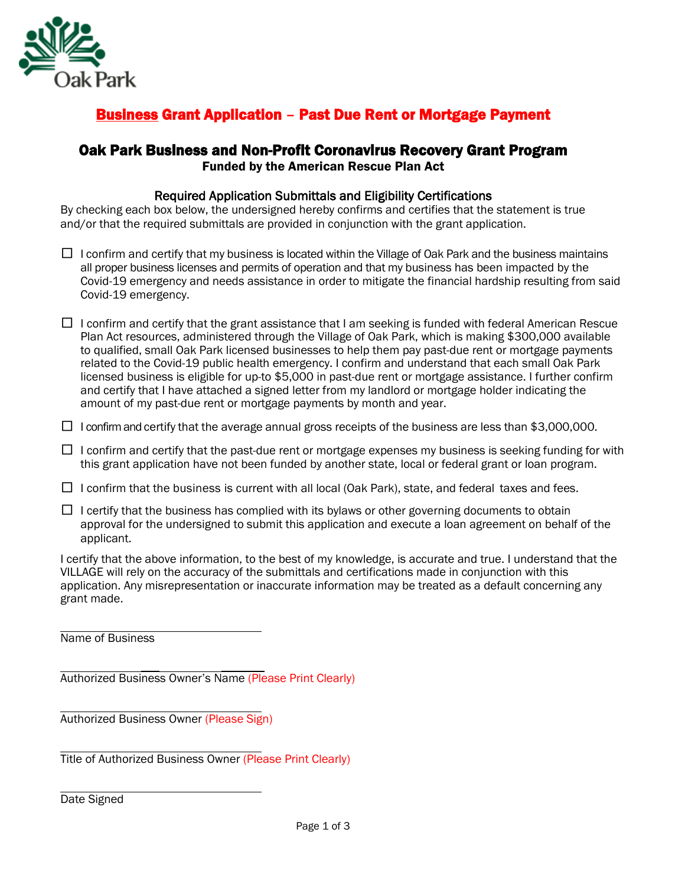

### Business Grant Application – Past Due Rent or Mortgage Payment

# Oak Park Business and Non-Profit Coronavirus Recovery Grant Program Funded by the American Rescue Plan Act

#### Required Application Submittals and Eligibility Certifications

By checking each box below, the undersigned hereby confirms and certifies that the statement is true and/or that the required submittals are provided in conjunction with the grant application.

- $\Box$  I confirm and certify that my business is located within the Village of Oak Park and the business maintains all proper business licenses and permits of operation and that my business has been impacted by the Covid-19 emergency and needs assistance in order to mitigate the financial hardship resulting from said Covid-19 emergency.
- $\Box$  I confirm and certify that the grant assistance that I am seeking is funded with federal American Rescue Plan Act resources, administered through the Village of Oak Park, which is making \$300,000 available to qualified, small Oak Park licensed businesses to help them pay past-due rent or mortgage payments related to the Covid-19 public health emergency. I confirm and understand that each small Oak Park licensed business is eligible for up-to \$5,000 in past-due rent or mortgage assistance. I further confirm and certify that I have attached a signed letter from my landlord or mortgage holder indicating the amount of my past-due rent or mortgage payments by month and year.
- $\Box$  I confirm and certify that the average annual gross receipts of the business are less than \$3,000,000.
- $\Box$  I confirm and certify that the past-due rent or mortgage expenses my business is seeking funding for with this grant application have not been funded by another state, local or federal grant or loan program.
- $\Box$  I confirm that the business is current with all local (Oak Park), state, and federal taxes and fees.
- $\Box$  I certify that the business has complied with its bylaws or other governing documents to obtain approval for the undersigned to submit this application and execute a loan agreement on behalf of the applicant.

I certify that the above information, to the best of my knowledge, is accurate and true. I understand that the VILLAGE will rely on the accuracy of the submittals and certifications made in conjunction with this application. Any misrepresentation or inaccurate information may be treated as a default concerning any grant made.

Name of Business

Authorized Business Owner's Name (Please Print Clearly)

Authorized Business Owner (Please Sign)

Title of Authorized Business Owner (Please Print Clearly)

Date Signed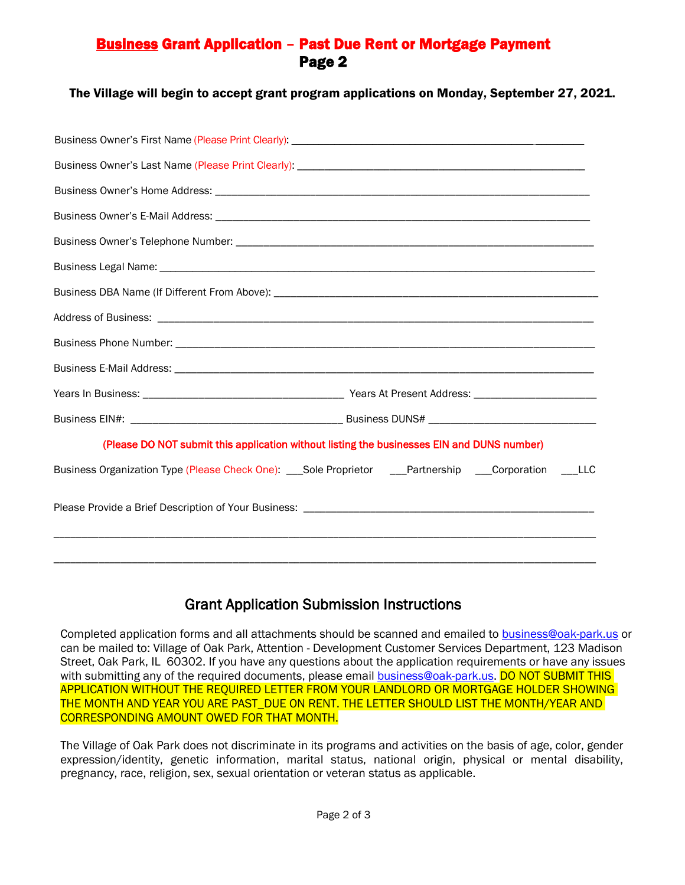#### Business Grant Application – Past Due Rent or Mortgage Payment Page 2

The Village will begin to accept grant program applications on Monday, September 27, 2021.

| (Please DO NOT submit this application without listing the businesses EIN and DUNS number)             |
|--------------------------------------------------------------------------------------------------------|
| Business Organization Type (Please Check One): ___Sole Proprietor ___Partnership ___Corporation ___LLC |
| ,我们也不能在这里的人,我们也不能在这里的人,我们也不能在这里的人,我们也不能在这里的人,我们也不能在这里的人,我们也不能在这里的人,我们也不能在这里的人,我们也                      |
|                                                                                                        |

## Grant Application Submission Instructions

Completed application forms and all attachments should be scanned and emailed t[o business@oak-park.us](mailto:business@oak-park.us) or can be mailed to: Village of Oak Park, Attention - Development Customer Services Department, 123 Madison Street, Oak Park, IL 60302. If you have any questions about the application requirements or have any issues with submitting any of the required documents, please email **business@oak-park.us. DO NOT SUBMIT THIS** APPLICATION WITHOUT THE REQUIRED LETTER FROM YOUR LANDLORD OR MORTGAGE HOLDER SHOWING THE MONTH AND YEAR YOU ARE PAST\_DUE ON RENT. THE LETTER SHOULD LIST THE MONTH/YEAR AND CORRESPONDING AMOUNT OWED FOR THAT MONTH.

The Village of Oak Park does not discriminate in its programs and activities on the basis of age, color, gender expression/identity, genetic information, marital status, national origin, physical or mental disability, pregnancy, race, religion, sex, sexual orientation or veteran status as applicable.